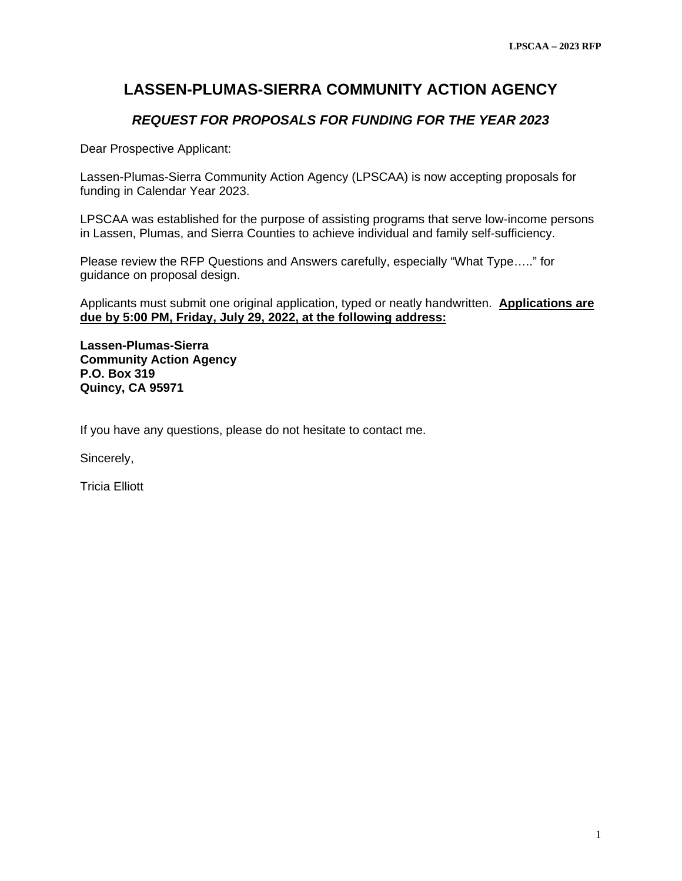# **LASSEN-PLUMAS-SIERRA COMMUNITY ACTION AGENCY**

## *REQUEST FOR PROPOSALS FOR FUNDING FOR THE YEAR 2023*

Dear Prospective Applicant:

Lassen-Plumas-Sierra Community Action Agency (LPSCAA) is now accepting proposals for funding in Calendar Year 2023.

LPSCAA was established for the purpose of assisting programs that serve low-income persons in Lassen, Plumas, and Sierra Counties to achieve individual and family self-sufficiency.

Please review the RFP Questions and Answers carefully, especially "What Type….." for guidance on proposal design.

Applicants must submit one original application, typed or neatly handwritten. **Applications are due by 5:00 PM, Friday, July 29, 2022, at the following address:** 

**Lassen-Plumas-Sierra Community Action Agency P.O. Box 319 Quincy, CA 95971** 

If you have any questions, please do not hesitate to contact me.

Sincerely,

Tricia Elliott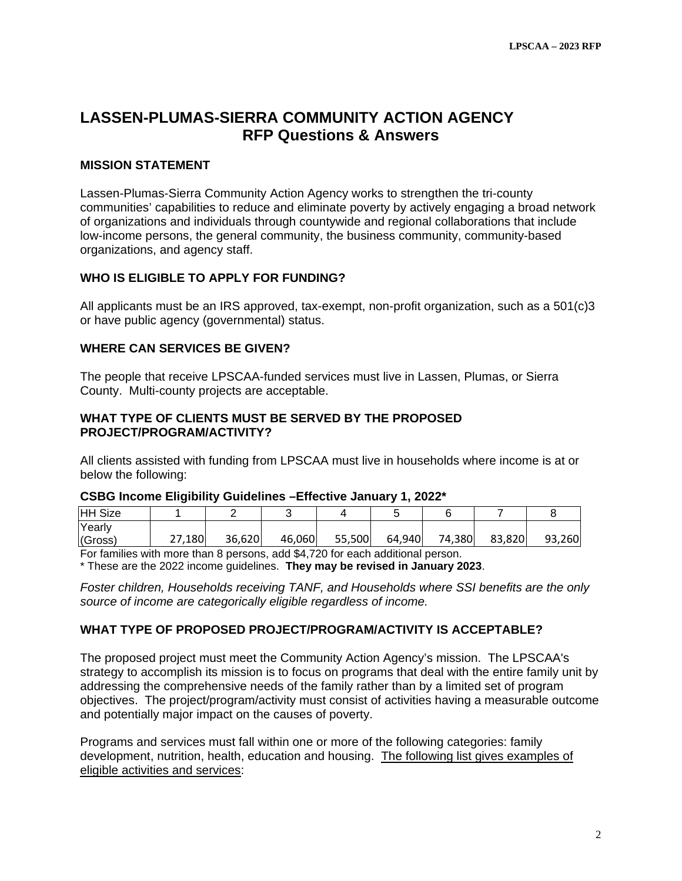## **LASSEN-PLUMAS-SIERRA COMMUNITY ACTION AGENCY RFP Questions & Answers**

#### **MISSION STATEMENT**

Lassen-Plumas-Sierra Community Action Agency works to strengthen the tri-county communities' capabilities to reduce and eliminate poverty by actively engaging a broad network of organizations and individuals through countywide and regional collaborations that include low-income persons, the general community, the business community, community-based organizations, and agency staff.

#### **WHO IS ELIGIBLE TO APPLY FOR FUNDING?**

All applicants must be an IRS approved, tax-exempt, non-profit organization, such as a 501(c)3 or have public agency (governmental) status.

#### **WHERE CAN SERVICES BE GIVEN?**

The people that receive LPSCAA-funded services must live in Lassen, Plumas, or Sierra County. Multi-county projects are acceptable.

#### **WHAT TYPE OF CLIENTS MUST BE SERVED BY THE PROPOSED PROJECT/PROGRAM/ACTIVITY?**

All clients assisted with funding from LPSCAA must live in households where income is at or below the following:

# **CSBG Income Eligibility Guidelines –Effective January 1, 2022\***

| <b>HH Size</b>    |        |        |        |        |        |        |        |        |
|-------------------|--------|--------|--------|--------|--------|--------|--------|--------|
| Yearly<br>(Gross) | 27,180 | 36,620 | 46,060 | 55,500 | 64,940 | 74,380 | 83,820 | 93,260 |

For families with more than 8 persons, add \$4,720 for each additional person.

\* These are the 2022 income guidelines. **They may be revised in January 2023**.

*Foster children, Households receiving TANF, and Households where SSI benefits are the only source of income are categorically eligible regardless of income.* 

#### **WHAT TYPE OF PROPOSED PROJECT/PROGRAM/ACTIVITY IS ACCEPTABLE?**

The proposed project must meet the Community Action Agency's mission. The LPSCAA's strategy to accomplish its mission is to focus on programs that deal with the entire family unit by addressing the comprehensive needs of the family rather than by a limited set of program objectives. The project/program/activity must consist of activities having a measurable outcome and potentially major impact on the causes of poverty.

Programs and services must fall within one or more of the following categories: family development, nutrition, health, education and housing. The following list gives examples of eligible activities and services: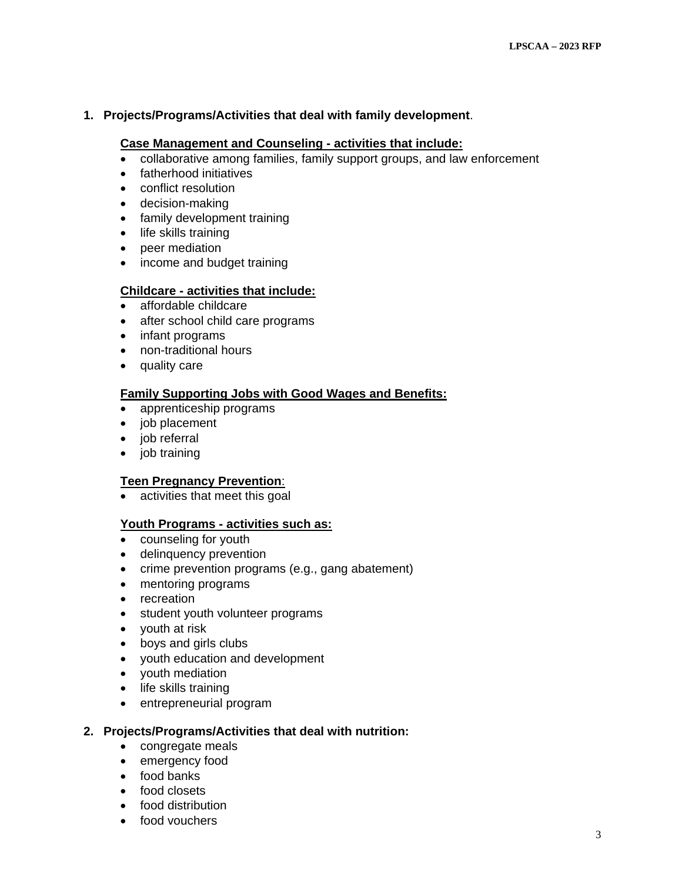#### **1. Projects/Programs/Activities that deal with family development**.

#### **Case Management and Counseling - activities that include:**

- $\bullet$  collaborative among families, family support groups, and law enforcement
- fatherhood initiatives
- conflict resolution
- decision-making
- family development training
- life skills training
- peer mediation
- income and budget training

#### **Childcare - activities that include:**

- affordable childcare
- after school child care programs
- infant programs
- non-traditional hours
- quality care

#### **Family Supporting Jobs with Good Wages and Benefits:**

- apprenticeship programs
- job placement
- iob referral
- job training

#### **Teen Pregnancy Prevention**:

• activities that meet this goal

#### **Youth Programs - activities such as:**

- counseling for youth
- delinquency prevention
- crime prevention programs (e.g., gang abatement)
- mentoring programs
- recreation
- student youth volunteer programs
- youth at risk
- boys and girls clubs
- youth education and development
- youth mediation
- life skills training
- entrepreneurial program

#### **2. Projects/Programs/Activities that deal with nutrition:**

- congregate meals
- emergency food
- food banks
- food closets
- food distribution
- food vouchers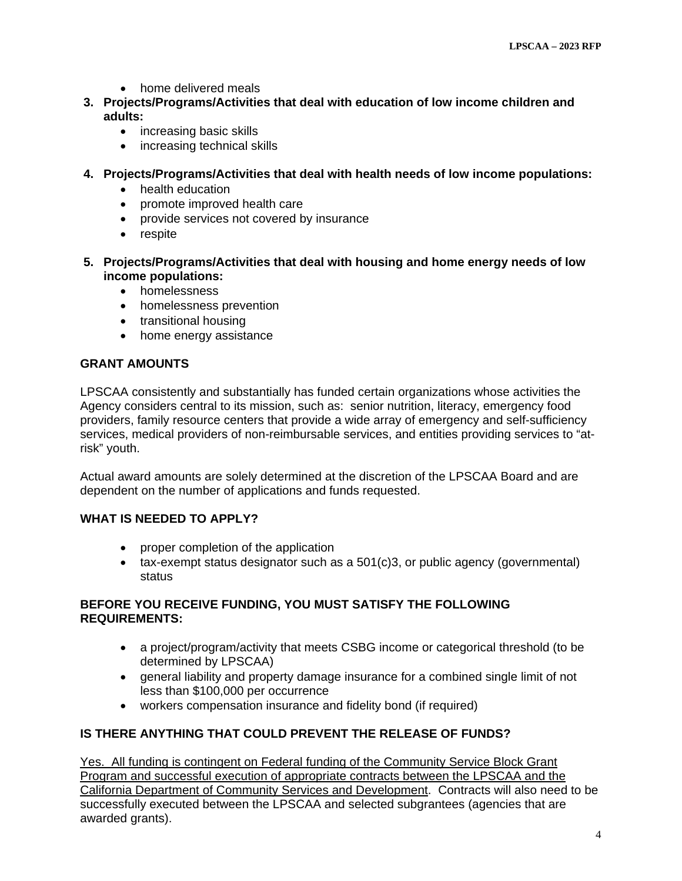- home delivered meals
- **3. Projects/Programs/Activities that deal with education of low income children and adults:** 
	- increasing basic skills
	- increasing technical skills
- **4. Projects/Programs/Activities that deal with health needs of low income populations:** 
	- health education
	- promote improved health care
	- provide services not covered by insurance
	- respite
- **5. Projects/Programs/Activities that deal with housing and home energy needs of low income populations:** 
	- homelessness
	- homelessness prevention
	- transitional housing
	- home energy assistance

#### **GRANT AMOUNTS**

LPSCAA consistently and substantially has funded certain organizations whose activities the Agency considers central to its mission, such as: senior nutrition, literacy, emergency food providers, family resource centers that provide a wide array of emergency and self-sufficiency services, medical providers of non-reimbursable services, and entities providing services to "atrisk" youth.

Actual award amounts are solely determined at the discretion of the LPSCAA Board and are dependent on the number of applications and funds requested.

#### **WHAT IS NEEDED TO APPLY?**

- proper completion of the application
- $\bullet$  tax-exempt status designator such as a 501(c)3, or public agency (governmental) status

#### **BEFORE YOU RECEIVE FUNDING, YOU MUST SATISFY THE FOLLOWING REQUIREMENTS:**

- a project/program/activity that meets CSBG income or categorical threshold (to be determined by LPSCAA)
- general liability and property damage insurance for a combined single limit of not less than \$100,000 per occurrence
- workers compensation insurance and fidelity bond (if required)

#### **IS THERE ANYTHING THAT COULD PREVENT THE RELEASE OF FUNDS?**

Yes. All funding is contingent on Federal funding of the Community Service Block Grant Program and successful execution of appropriate contracts between the LPSCAA and the California Department of Community Services and Development. Contracts will also need to be successfully executed between the LPSCAA and selected subgrantees (agencies that are awarded grants).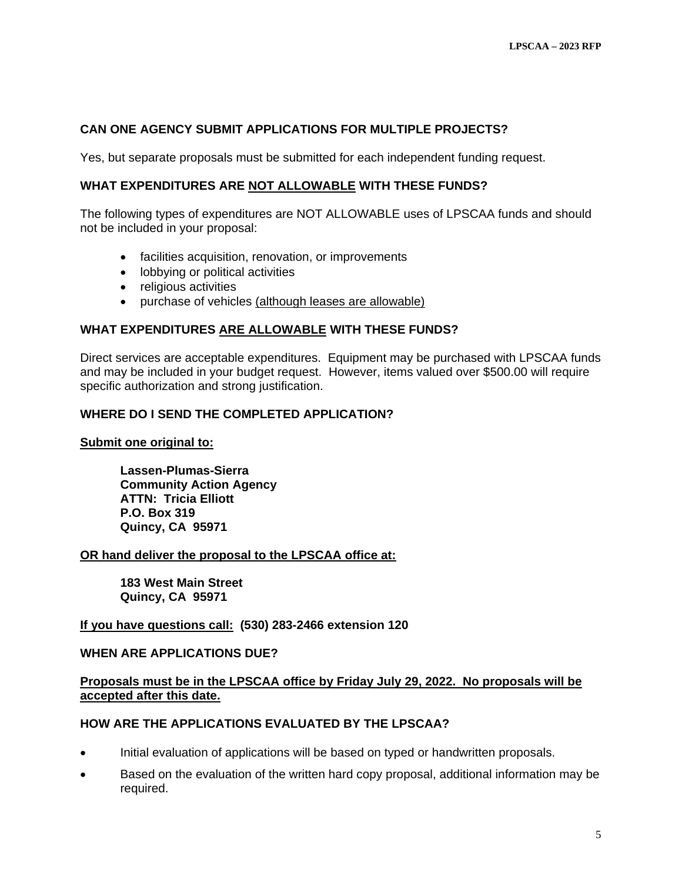#### **CAN ONE AGENCY SUBMIT APPLICATIONS FOR MULTIPLE PROJECTS?**

Yes, but separate proposals must be submitted for each independent funding request.

#### **WHAT EXPENDITURES ARE NOT ALLOWABLE WITH THESE FUNDS?**

The following types of expenditures are NOT ALLOWABLE uses of LPSCAA funds and should not be included in your proposal:

- facilities acquisition, renovation, or improvements
- lobbying or political activities
- religious activities
- purchase of vehicles (although leases are allowable)

#### **WHAT EXPENDITURES ARE ALLOWABLE WITH THESE FUNDS?**

Direct services are acceptable expenditures. Equipment may be purchased with LPSCAA funds and may be included in your budget request. However, items valued over \$500.00 will require specific authorization and strong justification.

#### **WHERE DO I SEND THE COMPLETED APPLICATION?**

#### **Submit one original to:**

 **Lassen-Plumas-Sierra Community Action Agency ATTN: Tricia Elliott P.O. Box 319 Quincy, CA 95971** 

#### **OR hand deliver the proposal to the LPSCAA office at:**

 **183 West Main Street Quincy, CA 95971** 

#### **If you have questions call: (530) 283-2466 extension 120**

#### **WHEN ARE APPLICATIONS DUE?**

#### **Proposals must be in the LPSCAA office by Friday July 29, 2022. No proposals will be accepted after this date.**

#### **HOW ARE THE APPLICATIONS EVALUATED BY THE LPSCAA?**

- Initial evaluation of applications will be based on typed or handwritten proposals.
- Based on the evaluation of the written hard copy proposal, additional information may be required.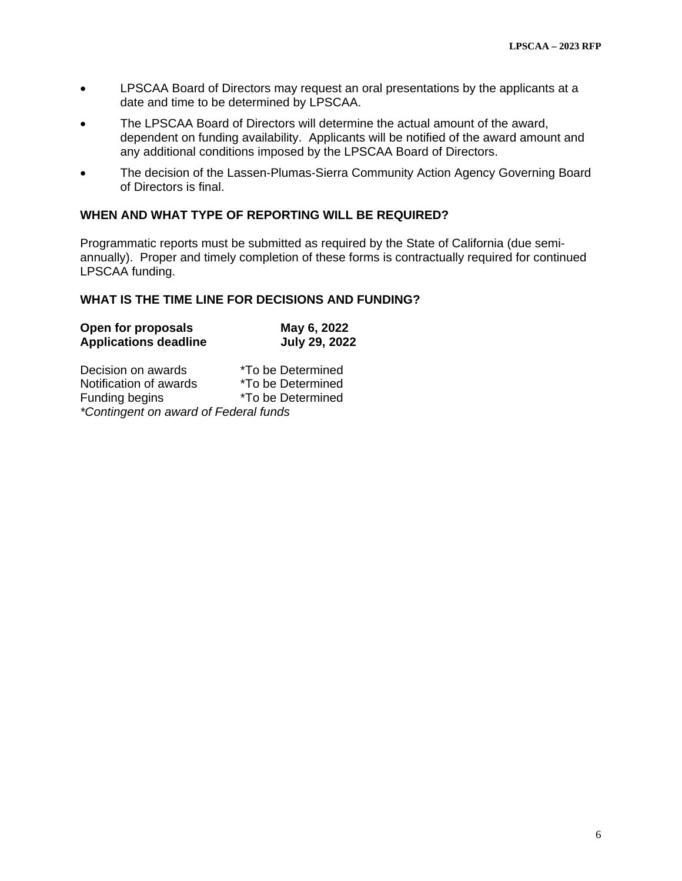- LPSCAA Board of Directors may request an oral presentations by the applicants at a date and time to be determined by LPSCAA.
- The LPSCAA Board of Directors will determine the actual amount of the award, dependent on funding availability. Applicants will be notified of the award amount and any additional conditions imposed by the LPSCAA Board of Directors.
- The decision of the Lassen-Plumas-Sierra Community Action Agency Governing Board of Directors is final.

#### **WHEN AND WHAT TYPE OF REPORTING WILL BE REQUIRED?**

Programmatic reports must be submitted as required by the State of California (due semiannually). Proper and timely completion of these forms is contractually required for continued LPSCAA funding.

#### **WHAT IS THE TIME LINE FOR DECISIONS AND FUNDING?**

| Open for proposals           | May 6, 2022          |
|------------------------------|----------------------|
| <b>Applications deadline</b> | <b>July 29, 2022</b> |

| Decision on awards                    | <i>*To be Determined</i> |  |  |  |  |
|---------------------------------------|--------------------------|--|--|--|--|
| Notification of awards                | *To be Determined        |  |  |  |  |
| Funding begins                        | *To be Determined        |  |  |  |  |
| *Contingent on award of Federal funds |                          |  |  |  |  |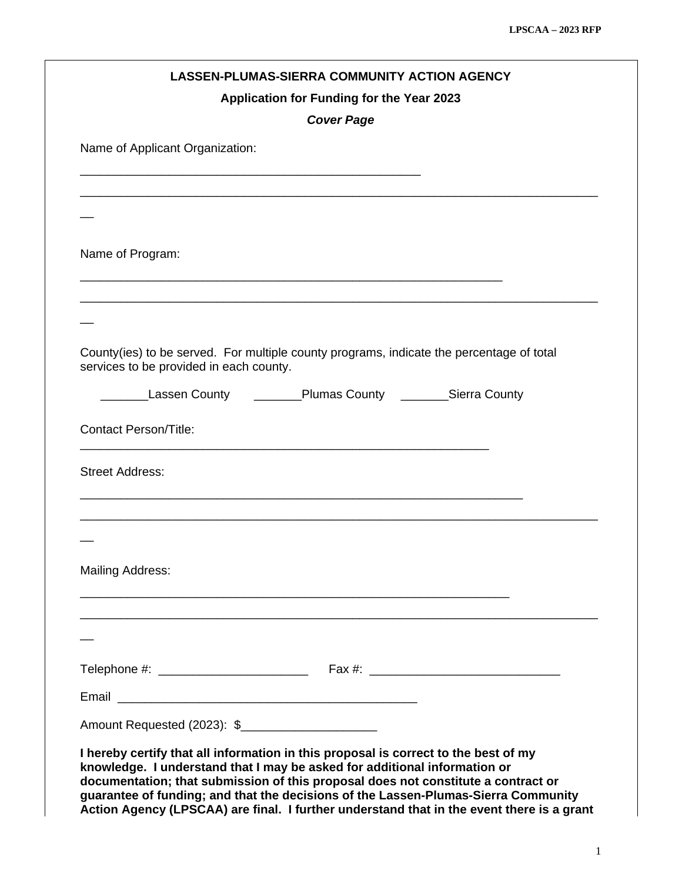|                                                                                                                                     | <b>LASSEN-PLUMAS-SIERRA COMMUNITY ACTION AGENCY</b><br>Application for Funding for the Year 2023<br><b>Cover Page</b> |  |
|-------------------------------------------------------------------------------------------------------------------------------------|-----------------------------------------------------------------------------------------------------------------------|--|
| Name of Applicant Organization:                                                                                                     |                                                                                                                       |  |
|                                                                                                                                     |                                                                                                                       |  |
|                                                                                                                                     |                                                                                                                       |  |
| Name of Program:                                                                                                                    |                                                                                                                       |  |
|                                                                                                                                     |                                                                                                                       |  |
|                                                                                                                                     |                                                                                                                       |  |
| County(ies) to be served. For multiple county programs, indicate the percentage of total<br>services to be provided in each county. |                                                                                                                       |  |
| ___Lassen County                                                                                                                    | ________Plumas County ________Sierra County                                                                           |  |
| <b>Contact Person/Title:</b>                                                                                                        |                                                                                                                       |  |
| <b>Street Address:</b>                                                                                                              |                                                                                                                       |  |
|                                                                                                                                     |                                                                                                                       |  |
|                                                                                                                                     |                                                                                                                       |  |
| <b>Mailing Address:</b>                                                                                                             |                                                                                                                       |  |
|                                                                                                                                     |                                                                                                                       |  |
|                                                                                                                                     |                                                                                                                       |  |
|                                                                                                                                     |                                                                                                                       |  |
|                                                                                                                                     |                                                                                                                       |  |
|                                                                                                                                     |                                                                                                                       |  |

**Action Agency (LPSCAA) are final. I further understand that in the event there is a grant**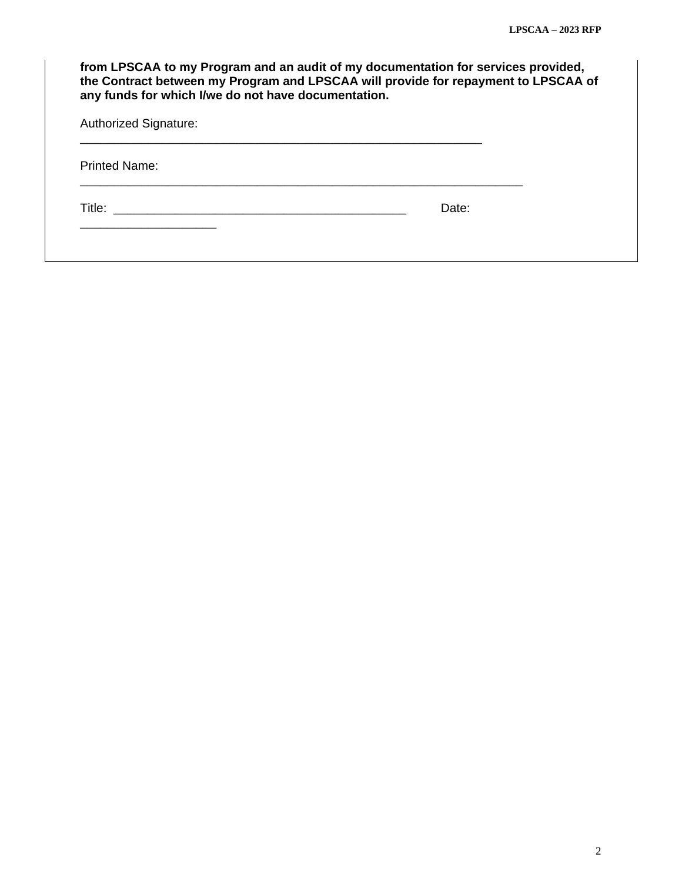| from LPSCAA to my Program and an audit of my documentation for services provided,<br>the Contract between my Program and LPSCAA will provide for repayment to LPSCAA of<br>any funds for which I/we do not have documentation. |       |  |  |  |  |
|--------------------------------------------------------------------------------------------------------------------------------------------------------------------------------------------------------------------------------|-------|--|--|--|--|
| <b>Authorized Signature:</b>                                                                                                                                                                                                   |       |  |  |  |  |
| <b>Printed Name:</b>                                                                                                                                                                                                           |       |  |  |  |  |
| Title: The contract of the contract of the contract of the contract of the contract of the contract of the contract of the contract of the contract of the contract of the contract of the contract of the contract of the con | Date: |  |  |  |  |
|                                                                                                                                                                                                                                |       |  |  |  |  |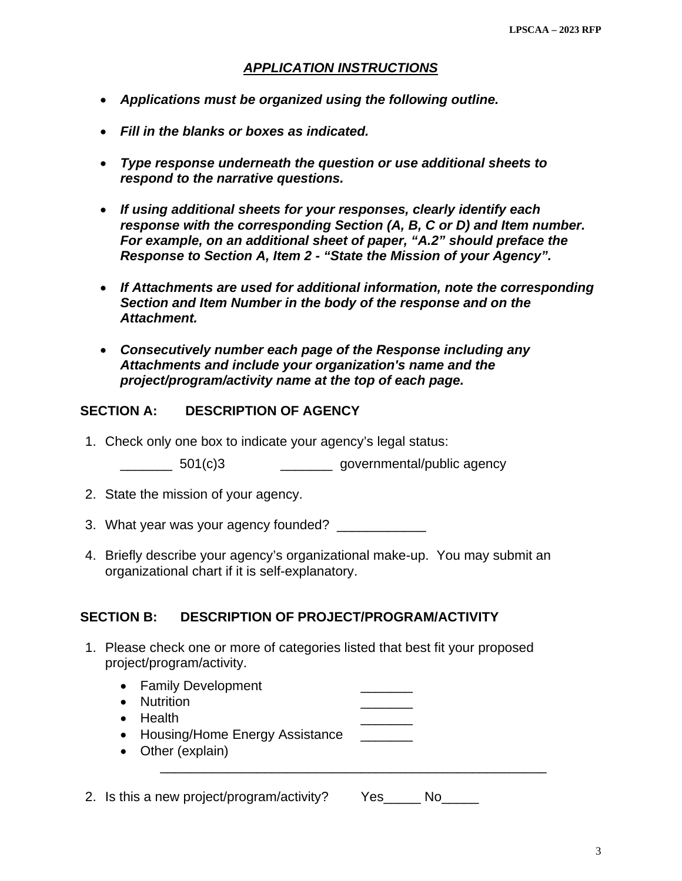## *APPLICATION INSTRUCTIONS*

- *Applications must be organized using the following outline.*
- *Fill in the blanks or boxes as indicated.*
- *Type response underneath the question or use additional sheets to respond to the narrative questions.*
- *If using additional sheets for your responses, clearly identify each response with the corresponding Section (A, B, C or D) and Item number. For example, on an additional sheet of paper, "A.2" should preface the Response to Section A, Item 2 - "State the Mission of your Agency".*
- *If Attachments are used for additional information, note the corresponding Section and Item Number in the body of the response and on the Attachment.*
- *Consecutively number each page of the Response including any Attachments and include your organization's name and the project/program/activity name at the top of each page.*

## **SECTION A: DESCRIPTION OF AGENCY**

1. Check only one box to indicate your agency's legal status:

\_\_\_\_\_\_\_ 501(c)3 \_\_\_\_\_\_\_ governmental/public agency

- 2. State the mission of your agency.
- 3. What year was your agency founded? \_\_\_\_\_\_\_\_\_\_\_\_
- 4. Briefly describe your agency's organizational make-up. You may submit an organizational chart if it is self-explanatory.

## **SECTION B: DESCRIPTION OF PROJECT/PROGRAM/ACTIVITY**

1. Please check one or more of categories listed that best fit your proposed project/program/activity.

| • Family Development<br><b>Nutrition</b><br>Health<br>$\bullet$<br>• Housing/Home Energy Assistance<br>Other (explain)<br>$\bullet$ |            |
|-------------------------------------------------------------------------------------------------------------------------------------|------------|
| 2. Is this a new project/program/activity?                                                                                          | Yes<br>No. |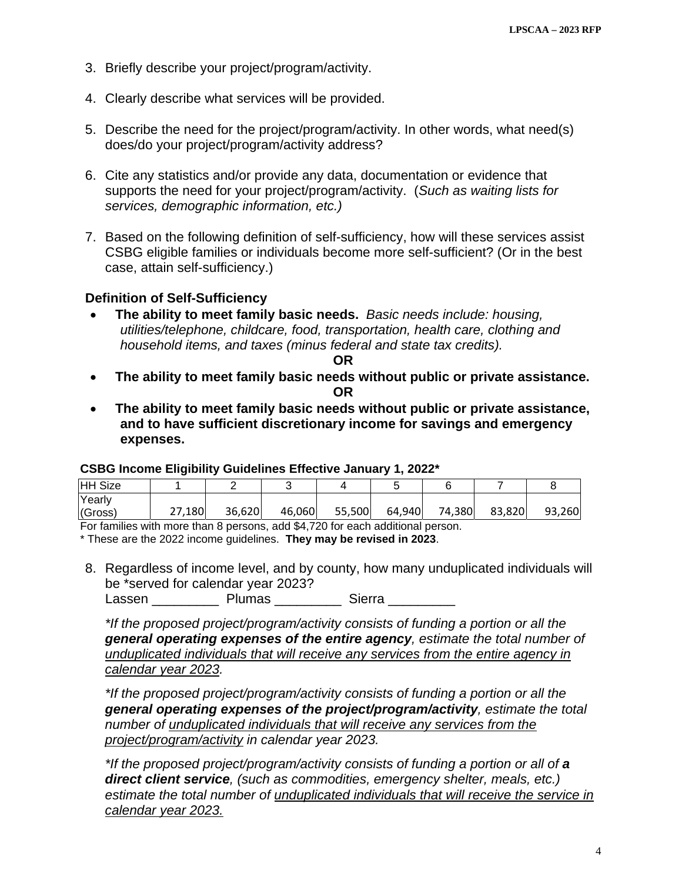- 3. Briefly describe your project/program/activity.
- 4. Clearly describe what services will be provided.
- 5. Describe the need for the project/program/activity. In other words, what need(s) does/do your project/program/activity address?
- 6. Cite any statistics and/or provide any data, documentation or evidence that supports the need for your project/program/activity. (*Such as waiting lists for services, demographic information, etc.)*
- 7. Based on the following definition of self-sufficiency, how will these services assist CSBG eligible families or individuals become more self-sufficient? (Or in the best case, attain self-sufficiency.)

## **Definition of Self-Sufficiency**

 **The ability to meet family basic needs.** *Basic needs include: housing, utilities/telephone, childcare, food, transportation, health care, clothing and household items, and taxes (minus federal and state tax credits).*

**OR** 

- **The ability to meet family basic needs without public or private assistance. OR**
- **The ability to meet family basic needs without public or private assistance, and to have sufficient discretionary income for savings and emergency expenses.**

#### **CSBG Income Eligibility Guidelines Effective January 1, 2022\***

| <b>HH Size</b> |        |        |        |        |        |        |        |        |
|----------------|--------|--------|--------|--------|--------|--------|--------|--------|
| Yearly         |        |        |        |        |        |        |        |        |
| (Gross)        | 27,180 | 36,620 | 46,060 | 55,500 | 64,940 | 74,380 | 83,820 | 93,260 |

For families with more than 8 persons, add \$4,720 for each additional person.

\* These are the 2022 income guidelines. **They may be revised in 2023**.

8. Regardless of income level, and by county, how many unduplicated individuals will be \*served for calendar year 2023?

Lassen Plumas Sierra

*\*If the proposed project/program/activity consists of funding a portion or all the general operating expenses of the entire agency, estimate the total number of unduplicated individuals that will receive any services from the entire agency in calendar year 2023.* 

*\*If the proposed project/program/activity consists of funding a portion or all the general operating expenses of the project/program/activity, estimate the total number of unduplicated individuals that will receive any services from the project/program/activity in calendar year 2023.* 

*\*If the proposed project/program/activity consists of funding a portion or all of a direct client service, (such as commodities, emergency shelter, meals, etc.) estimate the total number of unduplicated individuals that will receive the service in calendar year 2023.*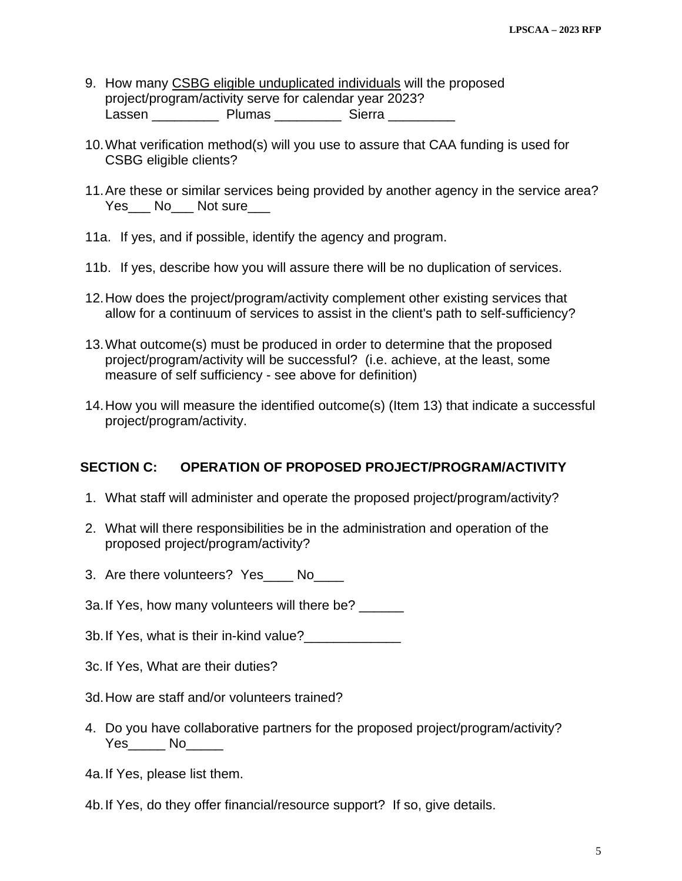- 9. How many CSBG eligible unduplicated individuals will the proposed project/program/activity serve for calendar year 2023? Lassen \_\_\_\_\_\_\_\_\_\_\_ Plumas \_\_\_\_\_\_\_\_\_\_ Sierra \_\_\_\_\_\_\_\_\_
- 10. What verification method(s) will you use to assure that CAA funding is used for CSBG eligible clients?
- 11. Are these or similar services being provided by another agency in the service area? Yes\_\_\_ No\_\_\_ Not sure\_\_\_
- 11a. If yes, and if possible, identify the agency and program.
- 11b. If yes, describe how you will assure there will be no duplication of services.
- 12. How does the project/program/activity complement other existing services that allow for a continuum of services to assist in the client's path to self-sufficiency?
- 13. What outcome(s) must be produced in order to determine that the proposed project/program/activity will be successful? (i.e. achieve, at the least, some measure of self sufficiency - see above for definition)
- 14. How you will measure the identified outcome(s) (Item 13) that indicate a successful project/program/activity.

## **SECTION C: OPERATION OF PROPOSED PROJECT/PROGRAM/ACTIVITY**

- 1. What staff will administer and operate the proposed project/program/activity?
- 2. What will there responsibilities be in the administration and operation of the proposed project/program/activity?
- 3. Are there volunteers? Yes\_\_\_\_ No\_\_\_\_
- 3a. If Yes, how many volunteers will there be?
- 3b. If Yes, what is their in-kind value?\_\_\_\_\_\_\_\_\_\_\_\_\_
- 3c. If Yes, What are their duties?
- 3d. How are staff and/or volunteers trained?
- 4. Do you have collaborative partners for the proposed project/program/activity? Yes\_\_\_\_\_\_\_ No\_\_\_\_\_\_\_
- 4a. If Yes, please list them.
- 4b. If Yes, do they offer financial/resource support? If so, give details.